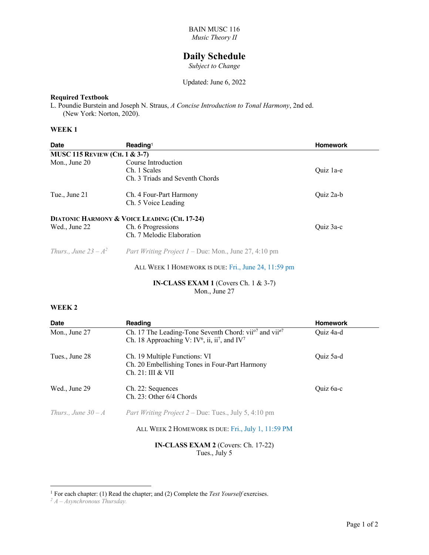# **Daily Schedule**

*Subject to Change*

Updated: June 6, 2022

# **Required Textbook**

L. Poundie Burstein and Joseph N. Straus, *A Concise Introduction to Tonal Harmony*, 2nd ed. (New York: Norton, 2020).

#### **WEEK 1**

| <b>Date</b>                                  | Reading <sup>1</sup>                                        | <b>Homework</b> |  |  |
|----------------------------------------------|-------------------------------------------------------------|-----------------|--|--|
| <b>MUSC 115 REVIEW (CH. 1 &amp; 3-7)</b>     |                                                             |                 |  |  |
| Mon., June 20                                | Course Introduction                                         |                 |  |  |
|                                              | Ch. 1 Scales                                                | Quiz la-e       |  |  |
|                                              | Ch. 3 Triads and Seventh Chords                             |                 |  |  |
| Tue., June 21                                | Ch. 4 Four-Part Harmony                                     | Quiz 2a-b       |  |  |
|                                              | Ch. 5 Voice Leading                                         |                 |  |  |
| DIATONIC HARMONY & VOICE LEADING (CH. 17-24) |                                                             |                 |  |  |
| Wed., June 22                                | Ch. 6 Progressions                                          | Quiz 3a-c       |  |  |
|                                              | Ch. 7 Melodic Elaboration                                   |                 |  |  |
| Thurs., June $23 - A^2$                      | <i>Part Writing Project 1 – Due: Mon., June 27, 4:10 pm</i> |                 |  |  |
|                                              | ALL WEEK 1 HOMEWORK IS DUE: Fri., June 24, 11:59 pm         |                 |  |  |

### **IN-CLASS EXAM 1** (Covers Ch. 1 & 3-7) Mon., June 27

#### **WEEK 2**

| <b>Date</b>                         | Reading                                                                                                                                                             | <b>Homework</b> |  |  |
|-------------------------------------|---------------------------------------------------------------------------------------------------------------------------------------------------------------------|-----------------|--|--|
| Mon., June 27                       | Ch. 17 The Leading-Tone Seventh Chord: vii <sup>o7</sup> and vii <sup>o7</sup><br>Ch. 18 Approaching V: IV <sup>6</sup> , ii, ii <sup>7</sup> , and IV <sup>7</sup> | Ouiz 4a-d       |  |  |
| Tues., June 28                      | Ch. 19 Multiple Functions: VI<br>Ch. 20 Embellishing Tones in Four-Part Harmony<br>Ch. 21: III & VII                                                                | Quiz 5a-d       |  |  |
| Wed., June 29                       | Ch. 22: Sequences<br>Ch. 23: Other 6/4 Chords                                                                                                                       | Quiz 6a-c       |  |  |
| Thurs., June $30 - A$               | <i>Part Writing Project 2 – Due: Tues., July 5, 4:10 pm</i>                                                                                                         |                 |  |  |
|                                     | ALL WEEK 2 HOMEWORK IS DUE: Fri., July 1, 11:59 PM                                                                                                                  |                 |  |  |
| IN-CLASS EXAM 2 (Covers: Ch. 17-22) |                                                                                                                                                                     |                 |  |  |

Tues., July 5

<sup>&</sup>lt;sup>1</sup> For each chapter: (1) Read the chapter; and (2) Complete the *Test Yourself* exercises.

*<sup>2</sup> A – Asynchronous Thursday.*